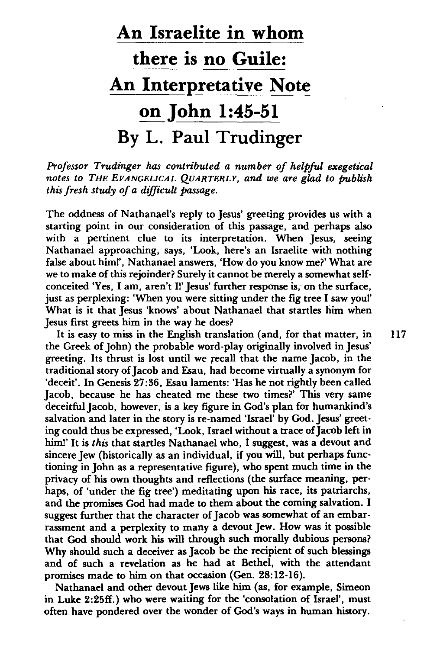## **An Israelite in whom there is no Guile: An Interpretative Note on John 1:45-51 By L. Paul Trudinger**

*Professor Trudinger has contributed a number of helpful exegetical notes to THE EVANGELICAL QUARTERLY, and we are glad to publish this fresh study of a difficult passage.* 

The oddness of Nathanael's reply to Jesus' greeting provides us with a starting point in our consideration of this passage, and perhaps also with a pertinent clue to its interpretation. When Jesus, seeing Nathanael approaching, says, 'Look, here's an Israelite with nothing false about him!', Nathanael answers, 'How do you know me?' What are we to make of this rejoinder? Surely it cannot be merely a somewhat selfconceited 'Yes, I am, aren't Il' Jesus' further response is, on the surface, just as perplexing: 'When you were sitting under the fig tree I saw youI' What is it that Jesus 'knows' about Nathanael that startles him when Jesus first greets him in the way he does?

It is easy to miss in the English translation (and, for that matter, in 117 the Greek of John) the probable word-play originally involved in Jesus' greeting. Its thrust is lost until we recall that the name Jacob, in the traditional story of Jacob and Esau, had become virtually a synonym for 'deceit'. In Genesis 27:36, Esau laments: 'Has he not rightly been called Jacob, because he has cheated me these two times?' This very same deceitful Jacob, however, is a key figure in God's plan for humankind's salvation and later in the story is re-named 'Israel' by God. Jesus' greeting could thus be expressed, 'Look, Israel without a trace of Jacob left in him!' It is *this* that startles Nathanael who, I suggest, was a devout and sincere Jew (historically as an individual, if you will, but perhaps functioning in John as a representative figure), who spent much time in the privacy of his own thoughts and reflections (the surface meaning, perhaps, of 'under the fig tree') meditating upon his race, its patriarchs, and the promises God had made to them about the coming salvation. I suggest further that the character of Jacob was somewhat of an embarrassment and a perplexity to many a devout Jew. How was it possible that God should work his will through such morally dubious persons? Why should such a deceiver as Jacob be the recipient of such blessings and of such a revelation as he had at Bethel, with the attendant promises made to him on that occasion (Gen. 28:12-16).

Nathanael and other devout Jews like him (as, for example, Simeon in Luke 2:25ff.) who were waiting for the 'consolation of Israel', must often have pondered over the wonder of God's ways in human history.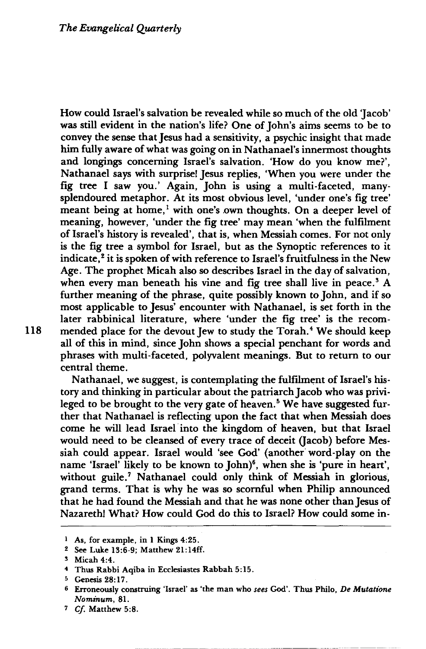How could Israel's salvation be revealed while so much of the old Jacob' was still evident in the nation's life? One of john's aims seems to be to convey the sense that Jesus had a sensitivity, a psychic insight that made him fully aware of what was going on in Nathanael's innermost thoughts and longings concerning Israel's salvation. 'How do you know me?', Nathanael says with surprise! Jesus replies, 'When you were under the fig tree I saw you.' Again, John is using a multi-faceted, manysplendoured metaphor. At its most obvious level, 'under one's fig tree' meant being at home,<sup>1</sup> with one's own thoughts. On a deeper level of meaning, however, 'under the fig tree' may mean 'when the fulfilment of Israel's history is revealed', that is, when Messiah comes. For not only is the fig tree a symbol for Israel, but as the Synoptic references to it indicate,<sup>2</sup> it is spoken of with reference to Israel's fruitfulness in the New Age. The prophet Micah also so describes Israel in the day of salvation, when every man beneath his vine and fig tree shall live in peace.<sup>3</sup> A further meaning of the phrase, quite possibly known to John, and if so most applicable to Jesus' encounter with Nathanael, is set forth in the later rabbinical literature, where 'under the fig tree' is the recom-118 mended place for the devout Jew to study the Torah.<sup>4</sup> We should keep all of this in mind, since John shows a special penchant for words and phrases with multi-faceted, polyvalent meanings. But to return to our central theme.

Nathanael, we suggest, is contemplating the fulfilment of Israel's history and thinking in particular about the patriarch Jacob who was privileged to be brought to the very gate of heaven.<sup>5</sup> We have suggested further that Nathanael is reflecting upon the fact that when Messiah does come he will lead Israel into the kingdom of heaven, but that Israel would need to be cleansed of every trace of deceit (Jacob) before Messiah could appear. Israel would 'see God' (another word-play on the name 'Israel' likely to be known to John)<sup>6</sup>, when she is 'pure in heart', without guile.<sup>7</sup> Nathanael could only think of Messiah in glorious, grand terms. That is why he was so scornful when Philip announced that he had found the Messiah and that he was none other than Jesus of Nazareth! What? How could God do this to Israel? How could some in-

<sup>&</sup>lt;sup>1</sup> As, for example, in 1 Kings 4:25.

<sup>!</sup> See Luke 13:6-9; Matthew 21: 14ff.

<sup>5</sup> Micah 4:4.

<sup>4</sup> Thus Rabbi Aqiba in Ecclesiastes Rabbah 5:15.

<sup>5</sup> Genesis 28: 17.

<sup>6</sup> Erroneously construing ·Israel' as 'the man who *sees* God'. Thus Philo, *De Mutatione Nominum, 81.* 

<sup>7</sup> *Cf* Matthew 5:8.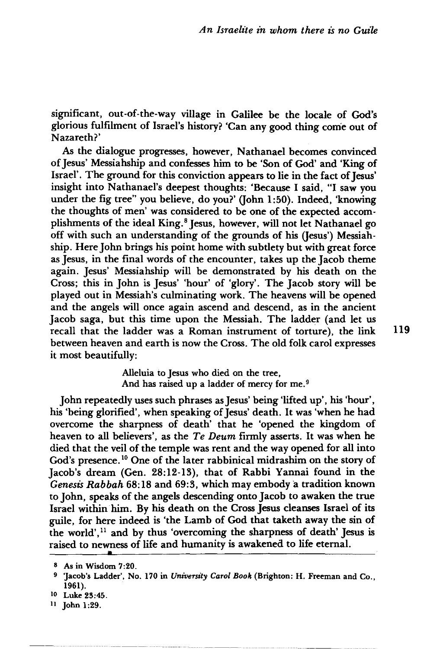significant, out-of-the-way village in Galilee be the locale of God's glorious fulfilment of Israel's history? 'Can any good thing come out of Nazareth?'

As the dialogue progresses, however, Nathanael becomes convinced of Jesus' Messiahship and confesses him to be 'Son of God' and 'King of Israel'. The ground for this conviction appears to lie in the fact of Jesus' insight into Nathanael's deepest thoughts: 'Because I said, "I saw you under the fig tree" you believe, do you?' (John 1:50). Indeed, 'knowing the thoughts of men' was considered to be one of the expected accomplishments of the ideal King.<sup>8</sup> Jesus, however, will not let Nathanael go off with such an understanding of the grounds of his (Jesus') Messiahship. Here John brings his point home with subtlety but with great force as Jesus, in the final words of the encounter, takes up the Jacob theme again. Jesus' Messiahship will be demonstrated by his death on the Cross; this in John is Jesus' 'hour' of 'glory'. The Jacob story will be played out in Messiah's culminating work. The heavens will be opened and the angels will once again ascend and descend, as in the ancient Jacob saga, but this time upon the Messiah. The ladder (and let us recall that the ladder was a Roman instrument of torture), the link 119 between heaven and earth is now the Cross. The old folk carol expresses it most beautifully:

> Alleluia to Jesus who died on the tree, And has raised up a ladder of mercy for me. <sup>9</sup>

John repeatedly uses such phrases as Jesus' being 'lifted up', his 'hour' , his 'being glorified', when speaking of Jesus' death. It was 'when he had overcome the sharpness of death' that he 'opened the kingdom of heaven to all believers', as the *Te Deum* firmly asserts. It was when he died that the veil of the temple was rent and the way opened for all into God's presence.<sup>10</sup> One of the later rabbinical midrashim on the story of Jacob's dream (Gen. 28:12-13), that of Rabbi Yannai found in the Genesis Rabbah 68:18 and 69:3, which may embody a tradition known to John, speaks of the angels descending onto Jacob to awaken the true Israel within him. By his death on the Cross Jesus cleanses Israel of its guile, for here indeed is 'the Lamb of God that taketh away the sin of the world', 11 and by thus 'overcoming the sharpness of death' Jesus is raised to newness of life and humanity is awakened to life eternal. **•** 

<sup>8</sup> As in Wisdom 7:20.

<sup>&</sup>lt;sup>9</sup> 'Jacob's Ladder', No. 170 in University Carol Book (Brighton: H. Freeman and Co., 1961).

<sup>&</sup>lt;sup>10</sup> Luke 23:45.

<sup>11</sup> John 1 :29.